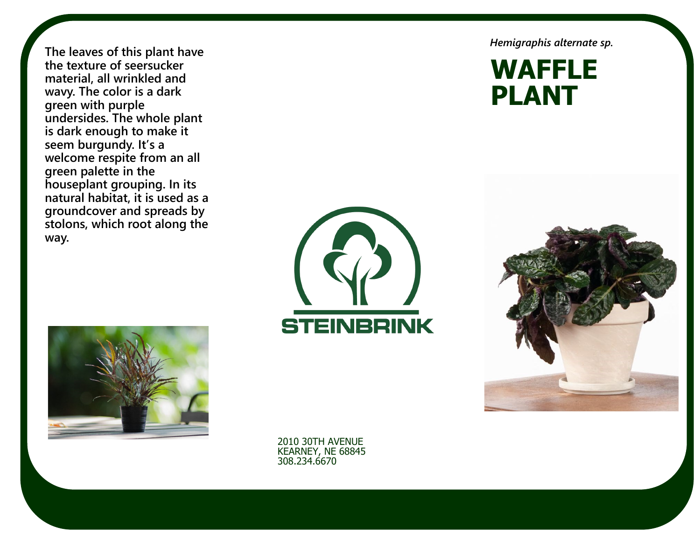**The leaves of this plant have the texture of seersucker material, all wrinkled and wavy. The color is a dark green with purple undersides. The whole plant is dark enough to make it seem burgundy. It's a welcome respite from an all green palette in the houseplant grouping. In its natural habitat, it is used as a groundcover and spreads by stolons, which root along the way.**



*Hemigraphis alternate sp.*

**WAFFLE PLANT**





2010 30TH AVENUE KEARNEY, NE 68845 308.234.6670